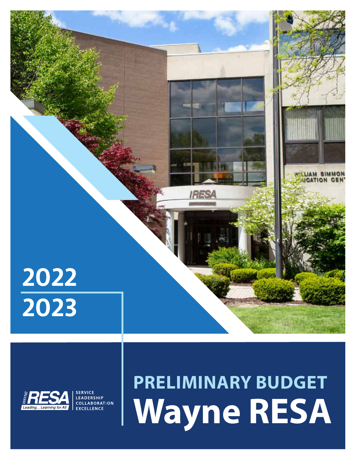



**SERVICE LEADERSHIP COLLABORATION EXCELLENCE** 

# **PRELIMINARY BUDGET Wayne RESA**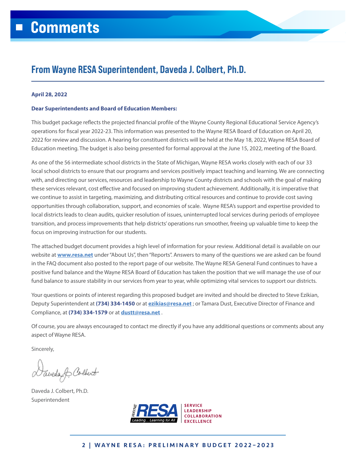### From Wayne RESA Superintendent, Daveda J. Colbert, Ph.D.

#### **April 28, 2022**

#### **Dear Superintendents and Board of Education Members:**

This budget package reflects the projected financial profile of the Wayne County Regional Educational Service Agency's operations for fiscal year 2022-23. This information was presented to the Wayne RESA Board of Education on April 20, 2022 for review and discussion. A hearing for constituent districts will be held at the May 18, 2022, Wayne RESA Board of Education meeting. The budget is also being presented for formal approval at the June 15, 2022, meeting of the Board.

As one of the 56 intermediate school districts in the State of Michigan, Wayne RESA works closely with each of our 33 local school districts to ensure that our programs and services positively impact teaching and learning. We are connecting with, and directing our services, resources and leadership to Wayne County districts and schools with the goal of making these services relevant, cost effective and focused on improving student achievement. Additionally, it is imperative that we continue to assist in targeting, maximizing, and distributing critical resources and continue to provide cost saving opportunities through collaboration, support, and economies of scale. Wayne RESA's support and expertise provided to local districts leads to clean audits, quicker resolution of issues, uninterrupted local services during periods of employee transition, and process improvements that help districts' operations run smoother, freeing up valuable time to keep the focus on improving instruction for our students.

The attached budget document provides a high level of information for your review. Additional detail is available on our website at **[www.resa.net](http://www.resa.net)** under "About Us", then "Reports". Answers to many of the questions we are asked can be found in the FAQ document also posted to the report page of our website. The Wayne RESA General Fund continues to have a positive fund balance and the Wayne RESA Board of Education has taken the position that we will manage the use of our fund balance to assure stability in our services from year to year, while optimizing vital services to support our districts.

Your questions or points of interest regarding this proposed budget are invited and should be directed to Steve Ezikian, Deputy Superintendent at **(734) 334-1450** or at **[ezikias@resa.net](mailto:ezikias%40resa.net?subject=)** ; or Tamara Dust, Executive Director of Finance and Compliance, at **(734) 334-1579** or at **[dustt@resa.net](mailto:dustt%40resa.net?subject=)** .

Of course, you are always encouraged to contact me directly if you have any additional questions or comments about any aspect of Wayne RESA.

Sincerely,

aveda & Colbert

Daveda J. Colbert, Ph.D. Superintendent



#### 2 | WAYNE RESA: PRELIMINARY BUDGET 2022–2023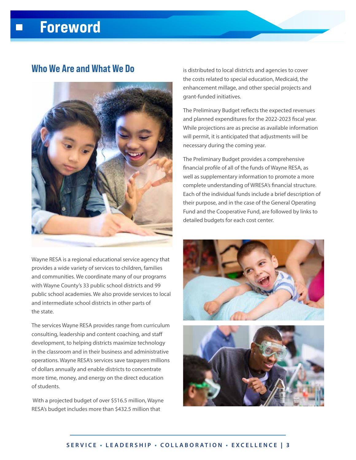### Foreword

#### Who We Are and What We Do



Wayne RESA is a regional educational service agency that provides a wide variety of services to children, families and communities. We coordinate many of our programs with Wayne County's 33 public school districts and 99 public school academies. We also provide services to local and intermediate school districts in other parts of the state.

The services Wayne RESA provides range from curriculum consulting, leadership and content coaching, and staff development, to helping districts maximize technology in the classroom and in their business and administrative operations. Wayne RESA's services save taxpayers millions of dollars annually and enable districts to concentrate more time, money, and energy on the direct education of students.

 With a projected budget of over \$516.5 million, Wayne RESA's budget includes more than \$432.5 million that

is distributed to local districts and agencies to cover the costs related to special education, Medicaid, the enhancement millage, and other special projects and grant-funded initiatives.

The Preliminary Budget reflects the expected revenues and planned expenditures for the 2022-2023 fiscal year. While projections are as precise as available information will permit, it is anticipated that adjustments will be necessary during the coming year.

The Preliminary Budget provides a comprehensive financial profile of all of the funds of Wayne RESA, as well as supplementary information to promote a more complete understanding of WRESA's financial structure. Each of the individual funds include a brief description of their purpose, and in the case of the General Operating Fund and the Cooperative Fund, are followed by links to detailed budgets for each cost center.



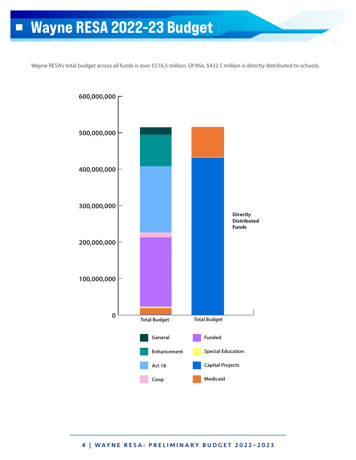# Wayne RESA 2022-23 Budget

Wayne RESA's total budget across all funds is over \$516.5 million. Of this, \$432.5 million is directly distributed to schools.

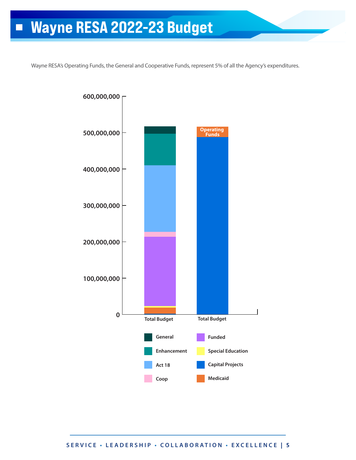# Wayne RESA 2022-23 Budget

Wayne RESA's Operating Funds, the General and Cooperative Funds, represent 5% of all the Agency's expenditures.

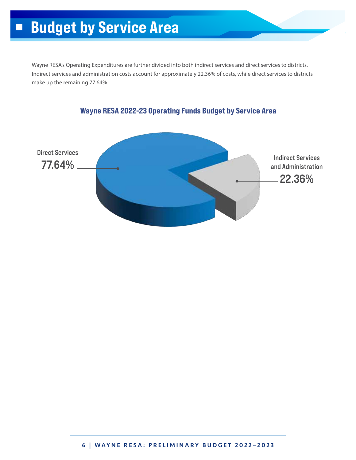### Budget by Service Area

 $\Box$ 

Wayne RESA's Operating Expenditures are further divided into both indirect services and direct services to districts. Indirect services and administration costs account for approximately 22.36% of costs, while direct services to districts make up the remaining 77.64%.



#### Wayne RESA 2022-23 Operating Funds Budget by Service Area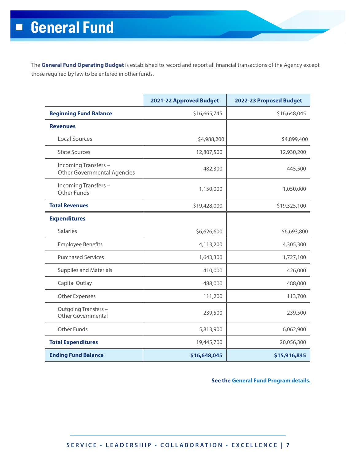# General Fund

 $\Box$ 

The **General Fund Operating Budget** is established to record and report all financial transactions of the Agency except those required by law to be entered in other funds.

|                                                            | 2021-22 Approved Budget | 2022-23 Proposed Budget |
|------------------------------------------------------------|-------------------------|-------------------------|
| <b>Beginning Fund Balance</b>                              | \$16,665,745            | \$16,648,045            |
| <b>Revenues</b>                                            |                         |                         |
| <b>Local Sources</b>                                       | \$4,988,200             | \$4,899,400             |
| <b>State Sources</b>                                       | 12,807,500              | 12,930,200              |
| Incoming Transfers -<br><b>Other Governmental Agencies</b> | 482,300                 | 445,500                 |
| Incoming Transfers -<br><b>Other Funds</b>                 | 1,150,000               | 1,050,000               |
| <b>Total Revenues</b>                                      | \$19,428,000            | \$19,325,100            |
| <b>Expenditures</b>                                        |                         |                         |
| <b>Salaries</b>                                            | \$6,626,600             | \$6,693,800             |
| <b>Employee Benefits</b>                                   | 4,113,200               | 4,305,300               |
| <b>Purchased Services</b>                                  | 1,643,300               | 1,727,100               |
| <b>Supplies and Materials</b>                              | 410,000                 | 426,000                 |
| Capital Outlay                                             | 488,000                 | 488,000                 |
| Other Expenses                                             | 111,200                 | 113,700                 |
| Outgoing Transfers -<br><b>Other Governmental</b>          | 239,500                 | 239,500                 |
| <b>Other Funds</b>                                         | 5,813,900               | 6,062,900               |
| <b>Total Expenditures</b>                                  | 19,445,700              | 20,056,300              |
| <b>Ending Fund Balance</b>                                 | \$16,648,045            | \$15,916,845            |

**See the [General Fund Program details.](https://resources.finalsite.net/images/v1650578056/resanet/vovxy4kkpr9dujciuvx4/GeneralFundDETAIL-PRELIMBUDGET22-23.pdf)**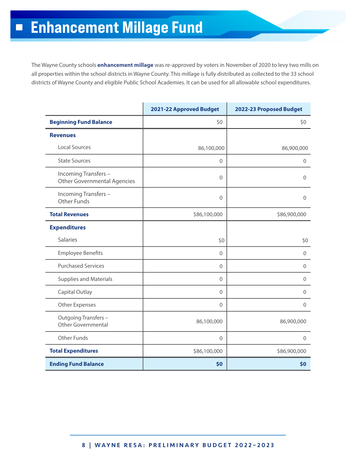Ξ

The Wayne County schools **enhancement millage** was re-approved by voters in November of 2020 to levy two mills on all properties within the school districts in Wayne County. This millage is fully distributed as collected to the 33 school districts of Wayne County and eligible Public School Academies. It can be used for all allowable school expenditures.

|                                                            | 2021-22 Approved Budget | 2022-23 Proposed Budget |
|------------------------------------------------------------|-------------------------|-------------------------|
| <b>Beginning Fund Balance</b>                              | \$0                     | \$0                     |
| <b>Revenues</b>                                            |                         |                         |
| <b>Local Sources</b>                                       | 86,100,000              | 86,900,000              |
| <b>State Sources</b>                                       | $\mathbf 0$             | $\mathbf 0$             |
| Incoming Transfers -<br><b>Other Governmental Agencies</b> | $\Omega$                | $\overline{0}$          |
| Incoming Transfers -<br><b>Other Funds</b>                 | $\overline{0}$          | $\mathsf{O}\xspace$     |
| <b>Total Revenues</b>                                      | \$86,100,000            | \$86,900,000            |
| <b>Expenditures</b>                                        |                         |                         |
| <b>Salaries</b>                                            | \$0                     | \$0                     |
| <b>Employee Benefits</b>                                   | $\Omega$                | $\boldsymbol{0}$        |
| <b>Purchased Services</b>                                  | $\mathbf{0}$            | $\mathbf 0$             |
| <b>Supplies and Materials</b>                              | $\mathbf{0}$            | $\overline{0}$          |
| Capital Outlay                                             | $\Omega$                | $\Omega$                |
| Other Expenses                                             | $\mathbf{0}$            | $\mathbf 0$             |
| Outgoing Transfers -<br><b>Other Governmental</b>          | 86,100,000              | 86,900,000              |
| Other Funds                                                | $\overline{0}$          | $\boldsymbol{0}$        |
| <b>Total Expenditures</b>                                  | \$86,100,000            | \$86,900,000            |
| <b>Ending Fund Balance</b>                                 | \$0                     | \$0                     |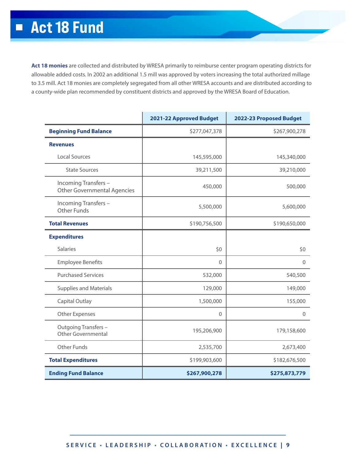### Act 18 Fund

O

**Act 18 monies** are collected and distributed by WRESA primarily to reimburse center program operating districts for allowable added costs. In 2002 an additional 1.5 mill was approved by voters increasing the total authorized millage to 3.5 mill. Act 18 monies are completely segregated from all other WRESA accounts and are distributed according to a county-wide plan recommended by constituent districts and approved by the WRESA Board of Education.

|                                                           | 2021-22 Approved Budget | 2022-23 Proposed Budget |
|-----------------------------------------------------------|-------------------------|-------------------------|
| <b>Beginning Fund Balance</b>                             | \$277,047,378           | \$267,900,278           |
| <b>Revenues</b>                                           |                         |                         |
| <b>Local Sources</b>                                      | 145,595,000             | 145,340,000             |
| <b>State Sources</b>                                      | 39,211,500              | 39,210,000              |
| Incoming Transfers-<br><b>Other Governmental Agencies</b> | 450,000                 | 500,000                 |
| Incoming Transfers -<br><b>Other Funds</b>                | 5,500,000               | 5,600,000               |
| <b>Total Revenues</b>                                     | \$190,756,500           | \$190,650,000           |
| <b>Expenditures</b>                                       |                         |                         |
| <b>Salaries</b>                                           | \$0                     | \$0                     |
| <b>Employee Benefits</b>                                  | $\Omega$                | $\mathbf{0}$            |
| <b>Purchased Services</b>                                 | 532,000                 | 540,500                 |
| <b>Supplies and Materials</b>                             | 129,000                 | 149,000                 |
| Capital Outlay                                            | 1,500,000               | 155,000                 |
| Other Expenses                                            | $\mathbf{0}$            | $\mathbf 0$             |
| Outgoing Transfers -<br><b>Other Governmental</b>         | 195,206,900             | 179,158,600             |
| <b>Other Funds</b>                                        | 2,535,700               | 2,673,400               |
| <b>Total Expenditures</b>                                 | \$199,903,600           | \$182,676,500           |
| <b>Ending Fund Balance</b>                                | \$267,900,278           | \$275,873,779           |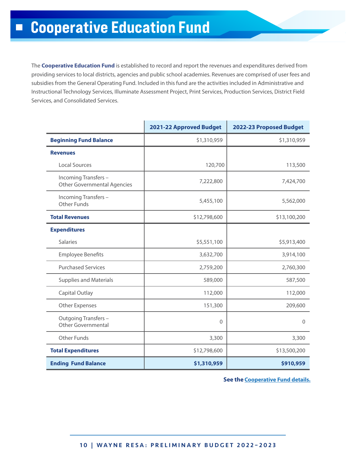The **Cooperative Education Fund** is established to record and report the revenues and expenditures derived from providing services to local districts, agencies and public school academies. Revenues are comprised of user fees and subsidies from the General Operating Fund. Included in this fund are the activities included in Administrative and Instructional Technology Services, Illuminate Assessment Project, Print Services, Production Services, District Field Services, and Consolidated Services.

|                                                            | 2021-22 Approved Budget | 2022-23 Proposed Budget |
|------------------------------------------------------------|-------------------------|-------------------------|
| <b>Beginning Fund Balance</b>                              | \$1,310,959             | \$1,310,959             |
| <b>Revenues</b>                                            |                         |                         |
| <b>Local Sources</b>                                       | 120,700                 | 113,500                 |
| Incoming Transfers -<br><b>Other Governmental Agencies</b> | 7,222,800               | 7,424,700               |
| Incoming Transfers -<br><b>Other Funds</b>                 | 5,455,100               | 5,562,000               |
| <b>Total Revenues</b>                                      | \$12,798,600            | \$13,100,200            |
| <b>Expenditures</b>                                        |                         |                         |
| <b>Salaries</b>                                            | \$5,551,100             | \$5,913,400             |
| <b>Employee Benefits</b>                                   | 3,632,700               | 3,914,100               |
| <b>Purchased Services</b>                                  | 2,759,200               | 2,760,300               |
| <b>Supplies and Materials</b>                              | 589,000                 | 587,500                 |
| Capital Outlay                                             | 112,000                 | 112,000                 |
| Other Expenses                                             | 151,300                 | 209,600                 |
| Outgoing Transfers -<br><b>Other Governmental</b>          | $\Omega$                | $\overline{0}$          |
| <b>Other Funds</b>                                         | 3,300                   | 3,300                   |
| <b>Total Expenditures</b>                                  | \$12,798,600            | \$13,500,200            |
| <b>Ending Fund Balance</b>                                 | \$1,310,959             | \$910,959               |

**See the [Cooperative Fund details.](https://resources.finalsite.net/images/v1650577784/resanet/ftomibckpbqoutn0twnq/COOPDETAIL-PRELIMBUDGET22-23.pdf)**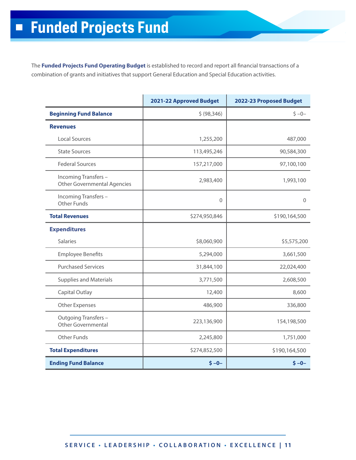The **Funded Projects Fund Operating Budget** is established to record and report all financial transactions of a combination of grants and initiatives that support General Education and Special Education activities.

|                                                            | 2021-22 Approved Budget | 2022-23 Proposed Budget |
|------------------------------------------------------------|-------------------------|-------------------------|
| <b>Beginning Fund Balance</b>                              | \$ (98, 346)            | $5 - 0 -$               |
| <b>Revenues</b>                                            |                         |                         |
| <b>Local Sources</b>                                       | 1,255,200               | 487,000                 |
| <b>State Sources</b>                                       | 113,495,246             | 90,584,300              |
| <b>Federal Sources</b>                                     | 157,217,000             | 97,100,100              |
| Incoming Transfers -<br><b>Other Governmental Agencies</b> | 2,983,400               | 1,993,100               |
| Incoming Transfers -<br><b>Other Funds</b>                 | 0                       | $\mathbf 0$             |
| <b>Total Revenues</b>                                      | \$274,950,846           | \$190,164,500           |
| <b>Expenditures</b>                                        |                         |                         |
| <b>Salaries</b>                                            | \$8,060,900             | \$5,575,200             |
| <b>Employee Benefits</b>                                   | 5,294,000               | 3,661,500               |
| <b>Purchased Services</b>                                  | 31,844,100              | 22,024,400              |
| <b>Supplies and Materials</b>                              | 3,771,500               | 2,608,500               |
| Capital Outlay                                             | 12,400                  | 8,600                   |
| Other Expenses                                             | 486,900                 | 336,800                 |
| Outgoing Transfers -<br><b>Other Governmental</b>          | 223,136,900             | 154,198,500             |
| <b>Other Funds</b>                                         | 2,245,800               | 1,751,000               |
| <b>Total Expenditures</b>                                  | \$274,852,500           | \$190,164,500           |
| <b>Ending Fund Balance</b>                                 | $$ -0-$                 | $$ -0-$                 |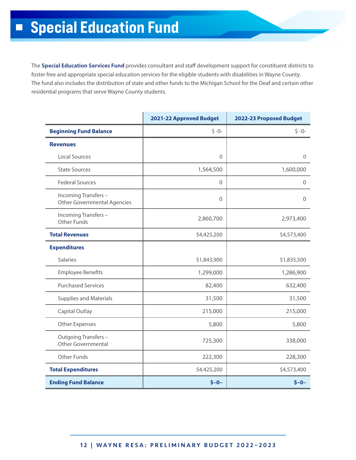The **Special Education Services Fund** provides consultant and staff development support for constituent districts to foster free and appropriate special education services for the eligible students with disabilities in Wayne County. The fund also includes the distribution of state and other funds to the Michigan School for the Deaf and certain other residential programs that serve Wayne County students.

|                                                            | 2021-22 Approved Budget | 2022-23 Proposed Budget |
|------------------------------------------------------------|-------------------------|-------------------------|
| <b>Beginning Fund Balance</b>                              | $5 - 0 -$               | $$ -0-$                 |
| <b>Revenues</b>                                            |                         |                         |
| <b>Local Sources</b>                                       | $\mathbf{0}$            | 0                       |
| <b>State Sources</b>                                       | 1,564,500               | 1,600,000               |
| <b>Federal Sources</b>                                     | $\Omega$                | $\boldsymbol{0}$        |
| Incoming Transfers -<br><b>Other Governmental Agencies</b> | $\Omega$                | $\Omega$                |
| Incoming Transfers -<br><b>Other Funds</b>                 | 2,860,700               | 2,973,400               |
| <b>Total Revenues</b>                                      | \$4,425,200             | \$4,573,400             |
| <b>Expenditures</b>                                        |                         |                         |
| Salaries                                                   | \$1,843,900             | \$1,835,500             |
| <b>Employee Benefits</b>                                   | 1,299,000               | 1,286,900               |
| <b>Purchased Services</b>                                  | 82,400                  | 632,400                 |
| <b>Supplies and Materials</b>                              | 31,500                  | 31,500                  |
| Capital Outlay                                             | 215,000                 | 215,000                 |
| <b>Other Expenses</b>                                      | 5,800                   | 5,800                   |
| Outgoing Transfers -<br>Other Governmental                 | 725,300                 | 338,000                 |
| <b>Other Funds</b>                                         | 222,300                 | 228,300                 |
| <b>Total Expenditures</b>                                  | \$4,425,200             | \$4,573,400             |
| <b>Ending Fund Balance</b>                                 | $$ -0-$                 | $$ -0-$                 |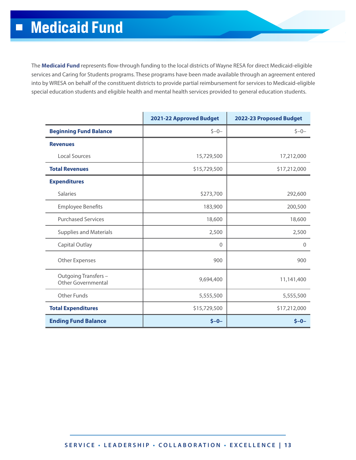The **Medicaid Fund** represents flow-through funding to the local districts of Wayne RESA for direct Medicaid-eligible services and Caring for Students programs. These programs have been made available through an agreement entered into by WRESA on behalf of the constituent districts to provide partial reimbursement for services to Medicaid-eligible special education students and eligible health and mental health services provided to general education students.

|                                                   | 2021-22 Approved Budget | 2022-23 Proposed Budget |
|---------------------------------------------------|-------------------------|-------------------------|
| <b>Beginning Fund Balance</b>                     | $$ -0-$                 | $$ -0-$                 |
| <b>Revenues</b>                                   |                         |                         |
| <b>Local Sources</b>                              | 15,729,500              | 17,212,000              |
| <b>Total Revenues</b>                             | \$15,729,500            | \$17,212,000            |
| <b>Expenditures</b>                               |                         |                         |
| Salaries                                          | \$273,700               | 292,600                 |
| <b>Employee Benefits</b>                          | 183,900                 | 200,500                 |
| <b>Purchased Services</b>                         | 18,600                  | 18,600                  |
| <b>Supplies and Materials</b>                     | 2,500                   | 2,500                   |
| Capital Outlay                                    | $\Omega$                | $\Omega$                |
| <b>Other Expenses</b>                             | 900                     | 900                     |
| Outgoing Transfers -<br><b>Other Governmental</b> | 9,694,400               | 11,141,400              |
| <b>Other Funds</b>                                | 5,555,500               | 5,555,500               |
| <b>Total Expenditures</b>                         | \$15,729,500            | \$17,212,000            |
| <b>Ending Fund Balance</b>                        | $$ -0-$                 | $$ -0-$                 |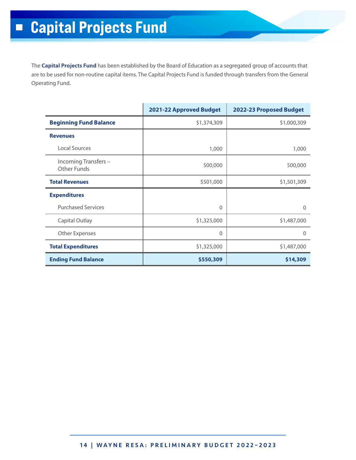α

The **Capital Projects Fund** has been established by the Board of Education as a segregated group of accounts that are to be used for non-routine capital items. The Capital Projects Fund is funded through transfers from the General Operating Fund.

|                                            | 2021-22 Approved Budget | 2022-23 Proposed Budget |
|--------------------------------------------|-------------------------|-------------------------|
| <b>Beginning Fund Balance</b>              | \$1,374,309             | \$1,000,309             |
| <b>Revenues</b>                            |                         |                         |
| <b>Local Sources</b>                       | 1,000                   | 1,000                   |
| Incoming Transfers -<br><b>Other Funds</b> | 500,000                 | 500,000                 |
| <b>Total Revenues</b>                      | \$501,000               | \$1,501,309             |
| <b>Expenditures</b>                        |                         |                         |
| <b>Purchased Services</b>                  | $\overline{0}$          | $\mathbf{0}$            |
| Capital Outlay                             | \$1,325,000             | \$1,487,000             |
| Other Expenses                             | $\Omega$                | $\Omega$                |
| <b>Total Expenditures</b>                  | \$1,325,000             | \$1,487,000             |
| <b>Ending Fund Balance</b>                 | \$550,309               | \$14,309                |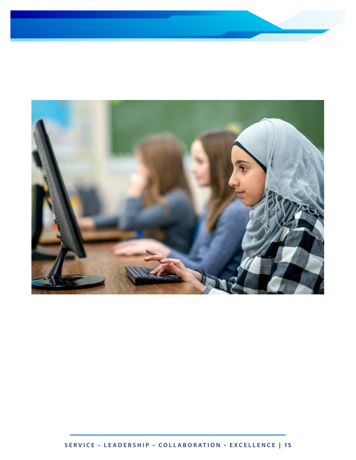